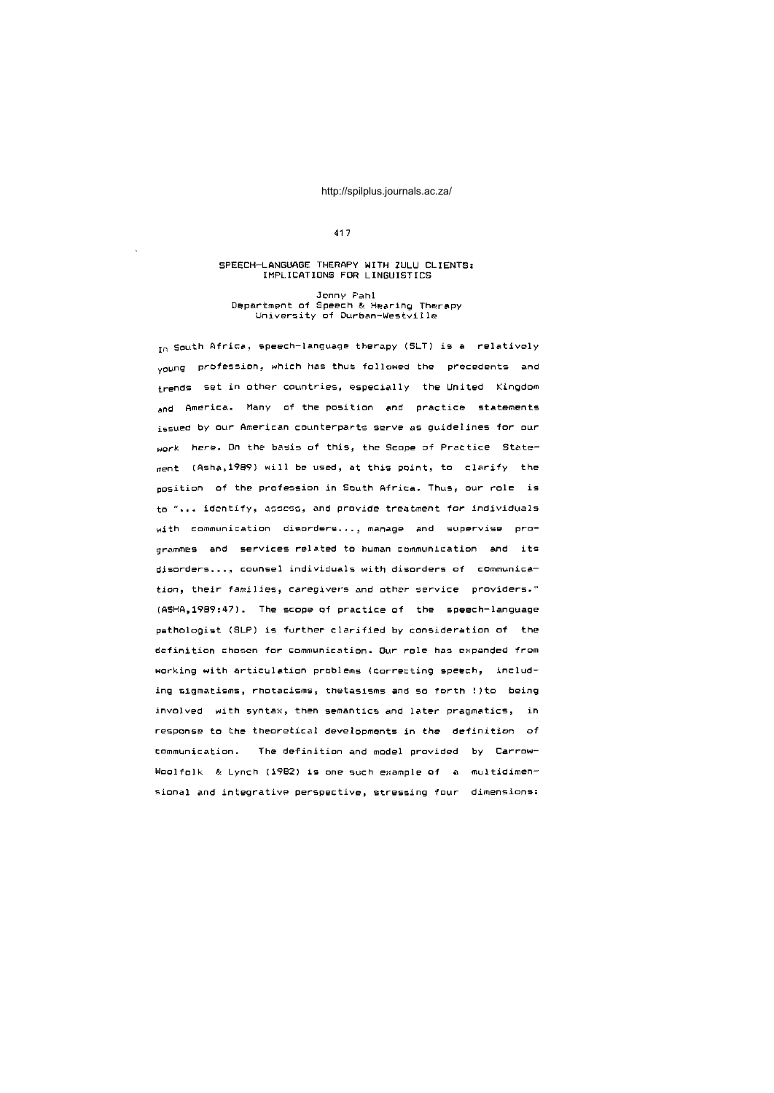## 41 7

# SPEECH-LANGUAGE THERAPY WITH ZULU CLIENTS:<br>IMPLICATIONS FOR LINGUISTICS

#### Jenny Pahl Department of Speech & Hearing Therapy University of Durban-Westville

In South Africa, speech-language therapy (SLT) is a relatively voung profession, which has thus followed the precedents and  $t$ rends set in other countries, especially the United Kingdom and America. Many of the position and practice statements issued by our American counterparts serve as guidelines for our work here. On the basis of this, the Scope of Practice State $m$ ent (Asha, 1989) will be used, at this point, to clarify the position of the profession in South Africa. Thus, our role is to "... identify, assess, and provide treatment for individuals  $width$  communication disorders..., manage and supervise programmes and services related to human communication and its disorders..., counsel individuals with disorders of communication, their families, caregivers and other service providers."  $(ASHA, 1989:47)$ . The scope of practice of the speech-language pathologist (SLP) is further clarified by consideration of the definition chosen for communication. Our role has expanded from working with articulation problems (correcting speech, including sigmatisms, rhotacisms, thetasisms and so forth !)to being involved with syntax, then semantics and later pragmatics, in response to the theoretical developments in the definition of tommunication. The definition and model provided by Carrow-Woolfolk & Lynch (1982) is one such example of a multidimensional and integrative perspective, stressing four dimensions: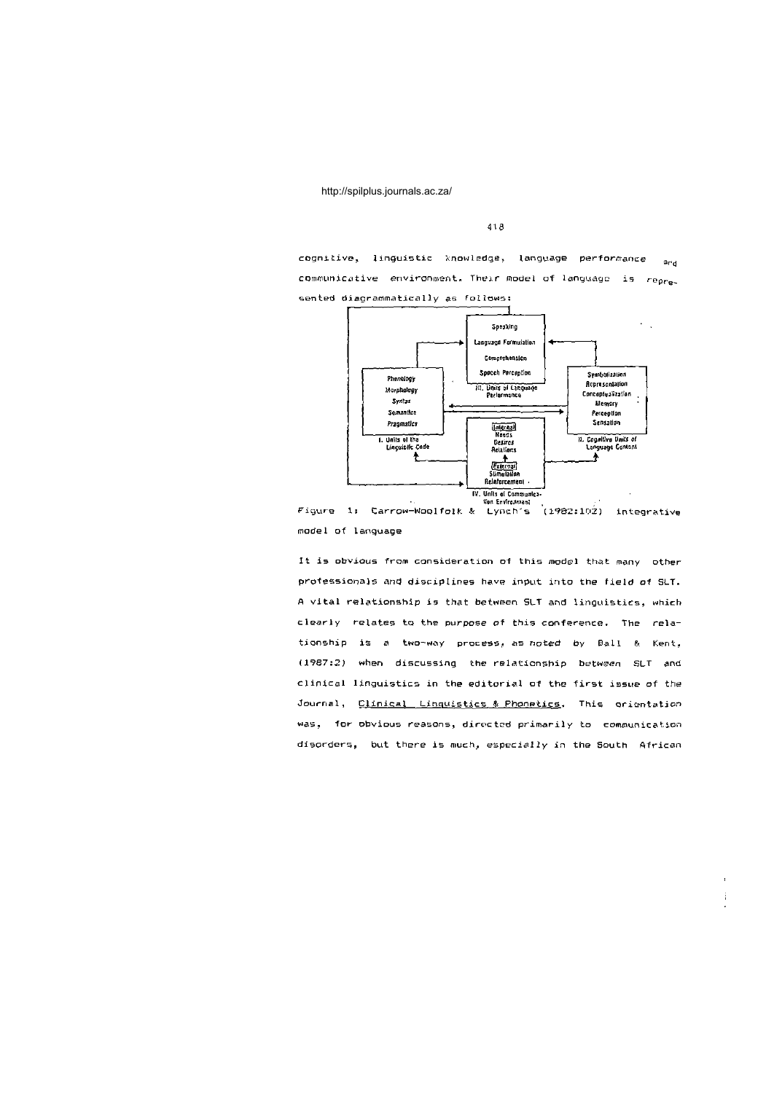418

cognitive, linguistic knowledge, language performance ang communicative environment. Their model of language is represented diagrammatically as follows:



Figure 1: Carrow-Woolfolk & Lynch's  $(1982:102)$ integrative model of language

It is obvious from consideration of this model that many other professionals and disciplines have input into the field of SLT. A vital relationship is that between SLT and linguistics, which clearly relates to the purpose of this conference. The relationship is a two-way process, as noted by Ball & Kent, (1987:2) when discussing the relationship between SLT and clinical linguistics in the editorial of the first issue of the Journal, Clinical Linguistics & Phonetics. This orientation was, for obvious reasons, directed primarily to communication disorders, but there is much, especially in the South African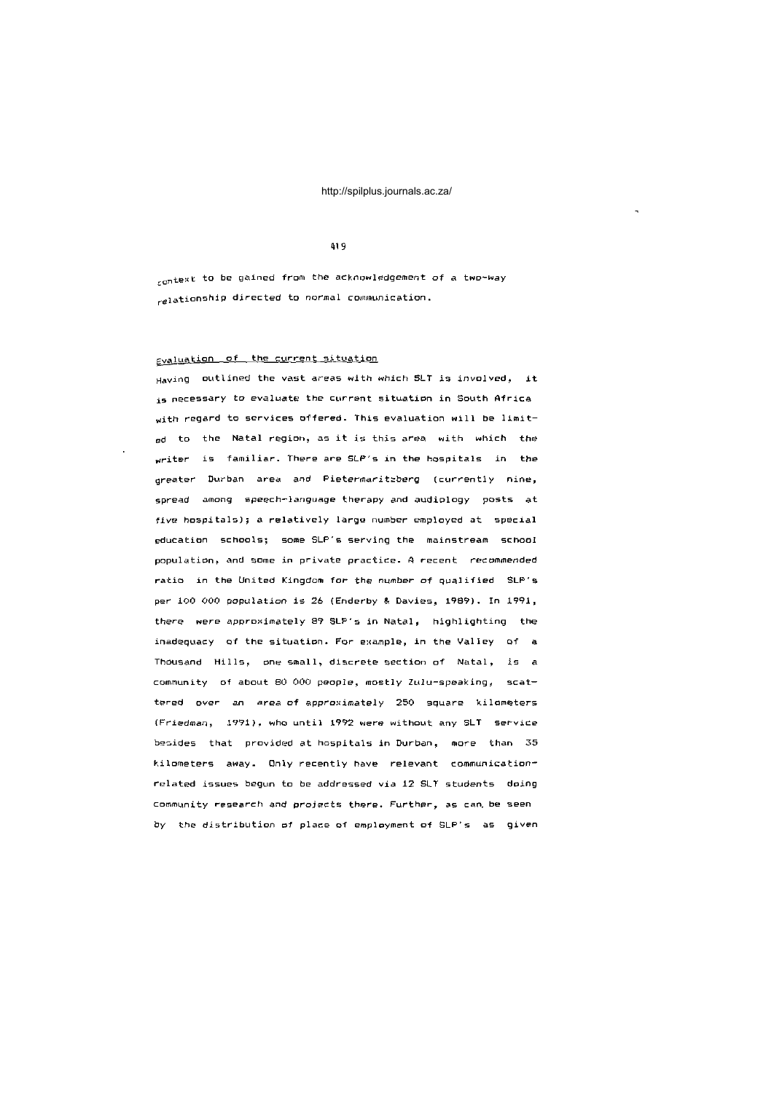#### 419

 $_{\rm {context}}$  to be gained from the acknowledgement of a two-way  $_{\text{relation}}$  directed to normal communication.

# g<sub>valuation</sub> of the current situation

Having outlined the vast areas with which SLT is involved, it is necessary to evaluate the current situation in South Africa with regard to services offered. This evaluation will be limit- $_{\text{gd}}$  to the Natal region, as it is this area with which the writer is familiar. There are SLP's in the hospitals in the greater Durban area and Pietermaritzberg (currently nine, spread among speech-language therapy and audiology posts at five hospitals); a relatively large number employed at special education schools; some SLP's serving the mainstream school population, and some in private practice. A recent recommended ratio in the United Kingdom for the number of qualified SLP's per 100 000 population is 26 (Enderby & Davies, 1989). In 1991, there were approximately 89 SLP's in Natal, highlighting the inadequacy of the situation. For example, in the Valley of a Thousand Hills, one small, discrete section of Natal, is a community of about 80 000 people, mostly Zulu-speaking, scattered over an area-of-approximately 250 square kilometers  $(Friedman, 1991)$ , who until 1992 were without any SLT service besides that provided at hospitals in Durban, more than 35 kilometers away. Only recently have relevant communicationrelated issues begun to be addressed via 12 SLT students doing community research and projects there. Further, as can be seen by the distribution of place of employment of SLP's as given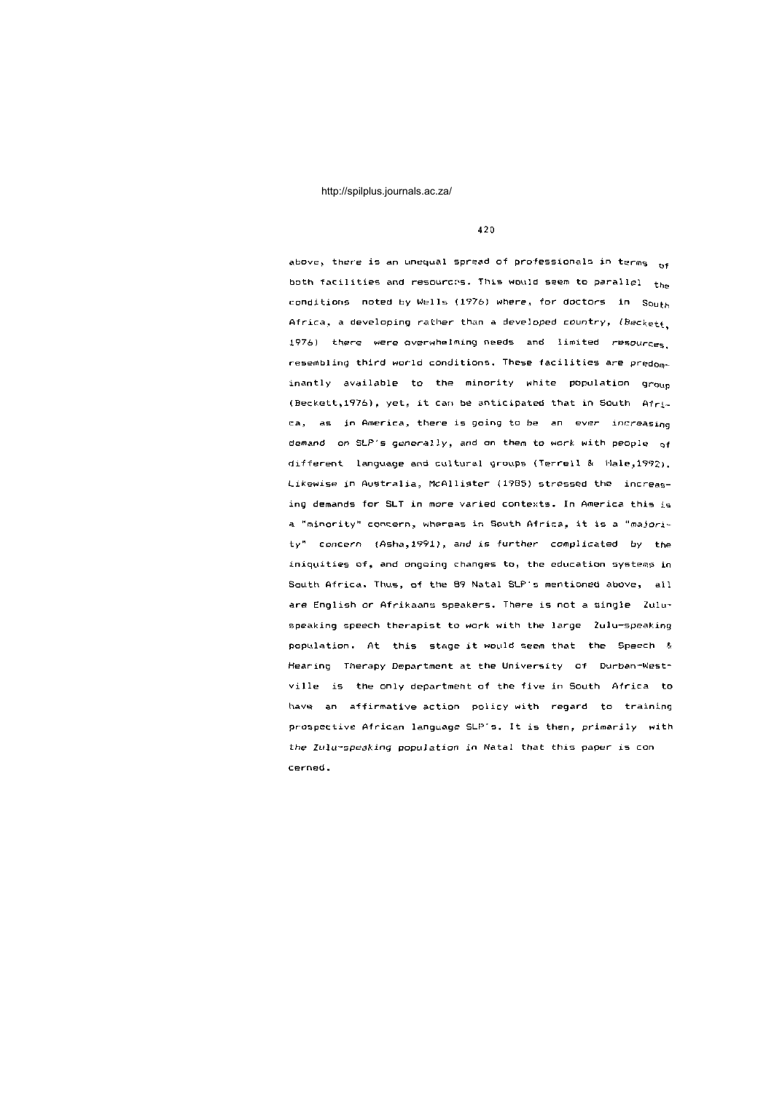4 2 0

above, there is an unequal spread of professionals in terms  $_{\mathsf{Qf}}$ both facilities and resources. This would seem to parallel  $t_{he}$ conditions noted by Wells (1976) where, for doctors in  $S_{\text{Out}b}$ Africa, a developing rather than a developed country,  $(Beckett)$ 1976) there were overwhelming needs and limited resources.  $r$ esembling third world conditions. These facilities are predominantly available to the minority white population group (Beckett,1976), yet, it can be anticipated that in South Africa, as in America, there is going to be an ever increasing demand on SLP's generally, and on them to work with people of different language and cultural groups (Terrell & Hale,1992). Likewise in Australia, McAllister (1985) stressed the increasing demands for SLT in more varied contexts. In America this is a "minority" concern, whereas in South Africa, it is a "majority" concern (Asha,1991), and is further complicated by the iniquities of, and ongoing changes to, the education systems in South Africa. Thus, of the 89 Natal SLP's mentioned above, all are English or Afrikaans speakers. There is not a single Zuluspeaking speech therapist to work with the large Zulu-speaking population. At this stage it would seem that the Speech & Hearing Therapy Department at the University of Durban-Westville is the only department of the five in South Africa to have an affirmative action policy with regard to training prospective African language SLP's. It is then, primarily with the Zulu-speaking population in Natal that this paper is con cernad .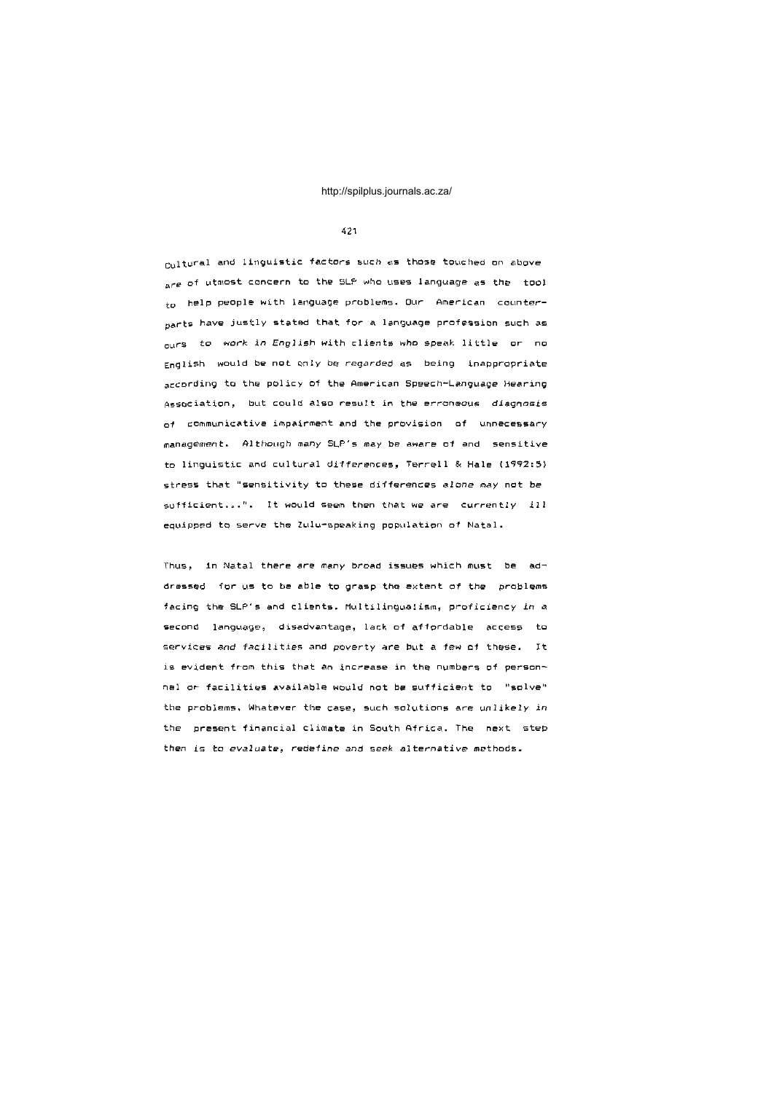#### 421

Cultural and linguistic factors such as those touched on above are of utmost concern to the SLP who uses language as the tool  $*_{0}$  help people with language problems. Our American counter- $_{\rm part}$ s have justly stated that for a language profession such as <sub>our</sub>s to work in English with clients who speak little or no English would be not only be regarded as being inappropriate according to the policy of the American Speech-Language Hearing Association, but could also result in the erroneous diagnosis  $of$  communicative impairment and the provision of unnecessary management. Although many SLP's may be aware of and sensitive to linguistic and cultural differences, Terrell & Hale (1992:5) stress that "sensitivity to these differences alone may not be sufficient...". It would seem then that we are currently ill equipped to serve the Zulu-speaking population of Natal.

Thus, in Natal there are many broad issues which must be addressed for us to be able to grasp the extent of the problems facing the SLP's and clients. Multilingualism, proficiency in a second language, disadvantage, lack of affordable access to services and facilities and poverty are but a few of these. It is evident from this that an increase in the numbers of personnel or facilities available would not be sufficient to "solve" the problems, Whatever the case, such solutions are unlikely in the present financial climate in South Africa. The next step then is to evaluate, redefine and seek alternative methods.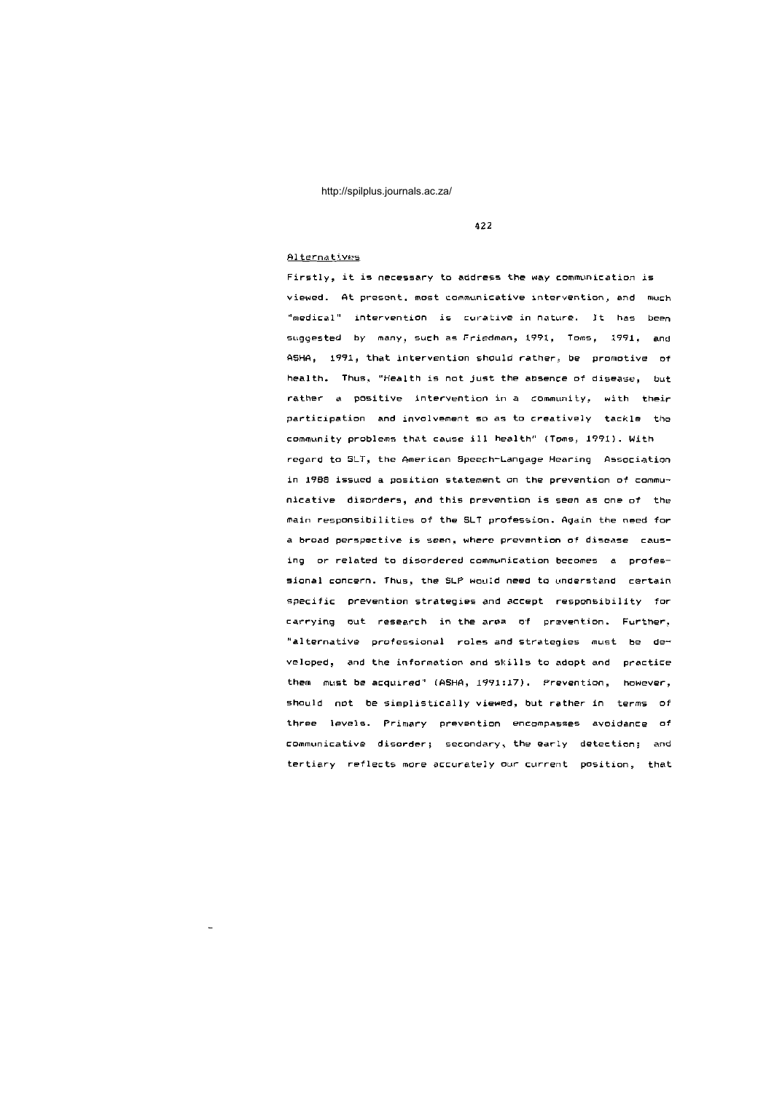422

# Alternatives

Firstly, it is necessary to address the way communication is viewed. At present, most communicative intervention, and much "medical" intervention is curative in nature. It has been suggested by many, such as Friedman, 1991, Toms, 1991, and ASHA, 1991, that intervention should rather, be promotive of health. Thus, "Health is not just the absence of disease, but rather a positive intervention in a community, with their participation and involvement so as to creatively tackle the community problems that cause ill health" (Toms, 1991). With regard to SLT, the American Speech-Langage Hearing Association in 1988 issued a position statement on the prevention of communicative disorders, and this prevention is seen as one of the main responsibilities of the SLT profession. Again the need for a broad perspective is seen, where prevention of disease causing or related to disordered communication becomes a professional concern. Thus, the SLP would need to understand certain specific prevention strategies and accept responsibility for carrying out research in the area of prevention. Further, "alternative professional roles and strategies must be developed, and the information and skills to adopt and practice them must be acquired" (ASHA, 1991:17). Prevention, however, should not be simplistically viewed, but rather in terms of three levels. Primary prevention encompasses avoidance of communicative disorder; secondary, the early detection; and tertiary reflects more accurately our current position, that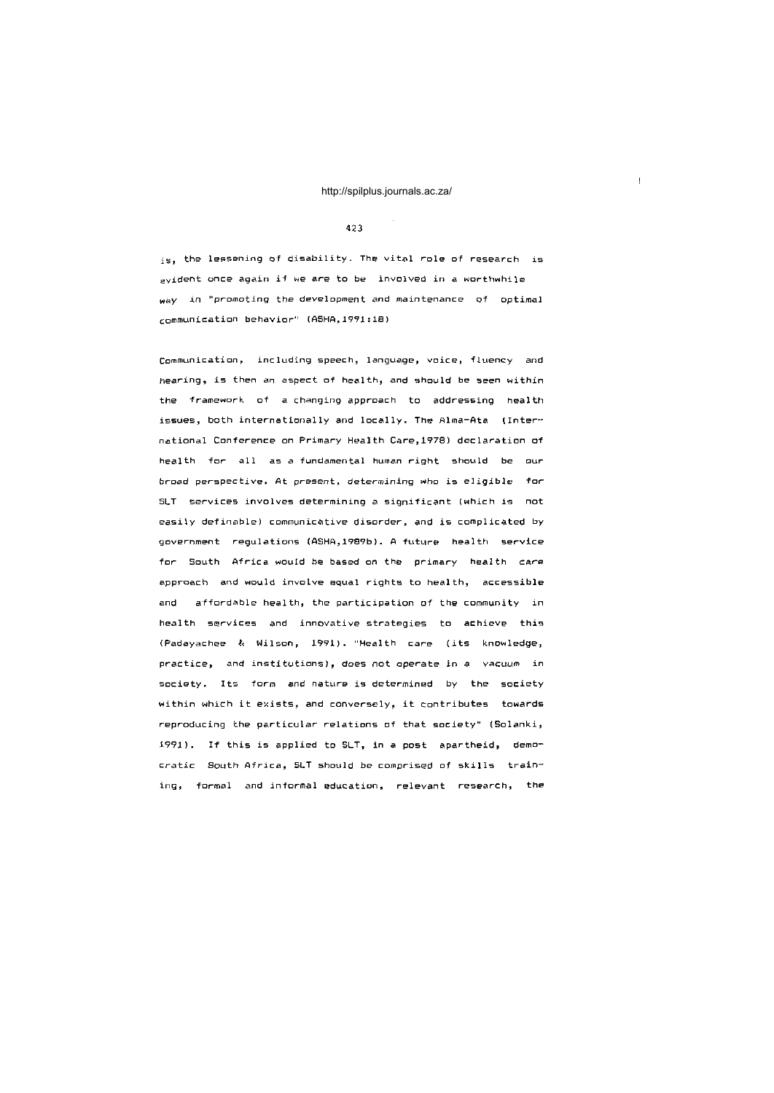## 4 2 3

 $is$ , the lessening of disability. The vital role of research is  $e$ vident once again if we are to be involved in a worthwhile way in "promoting the development and maintenance of optimal communication behavior" (ASHA, 1991:18)

Communication, including speech, language, voice, fluency and hearing, is then an aspect of health, and should be seen within the framework of a changing approach to addressing health issues, both internationally and locally. The Alma-Ata (International Conference on Primary Health Care, 1978) declaration of health for all as a fundamental human right should be our broad perspective. At present, determining who is eligible for SLT services involves determining a significant (which is not easily definable) communicative disorder, and is complicated by government regulations (ASHA,1989b). A future health service for South Africa would be based on the primary health care approach and would involve equal rights to health, accessible and affordable health, the participation of the community in health services and innovative strategies to achieve this (Padayachee & Wilson, 1991). "Health care (its knowledge, practice, and institutions), does not operate in a vacuum in society. Its form and nature is determined by the society within which it exists, and conversely, it contributes towards reproducing the particular relations of that society" (Solanki,  $1991$ ). If this is applied to SLT, in a post apartheid, democratic South Africa, SLT should be comprised of skills training, formal and informal education, relevant research, the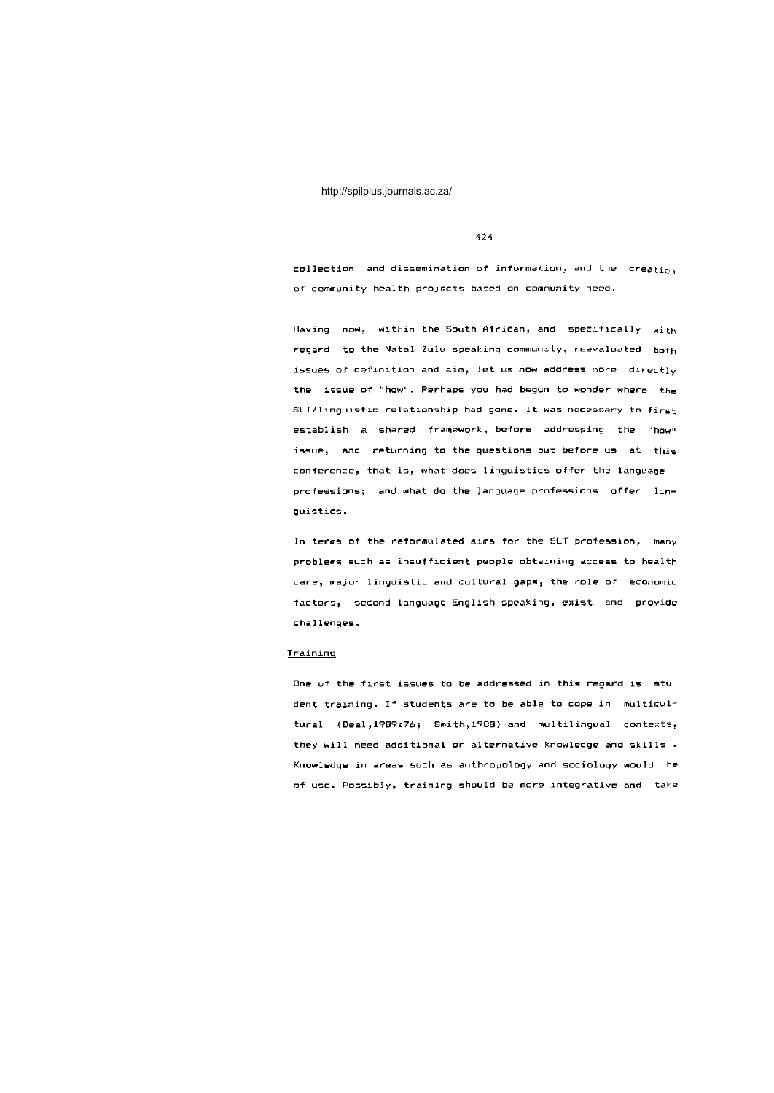424

 $\texttt{collection}$  and dissemination of information, and the creation of community health projects based on community need.

Having now, within the South African, and specifically with regard to the Natal Zulu speaking community, reevaluated both issues of definition and aim, let us now address more directly the issue of "how". Perhaps you had begun to wonder where the SLT/linguistic relationship had gone. It was necessary to first establish a shared framework, before addressing the "how" issue, and returning to the questions put before us at this conference, that is, what does linguistics offer the language professions; and what do the language professions offer linguistics.

In terms of the reformulated aims for the SLT profession, many problems such as insufficient people obtaining access to health care, major linguistic and cultural gaps, the role of economic factors, second language English speaking, exist and provide challenges .

## **Training**

One of the first issues to be addressed in this regard is stu dent training. If students are to be able to cope in multicultural ( Deal, 1909: 76; Smith, 1988) and multilingual contexts, they will need additional or alternative knowledge and skills . Knowledge in areas such as anthropology and sociology would be of use. Possibly, training should be more integrative and take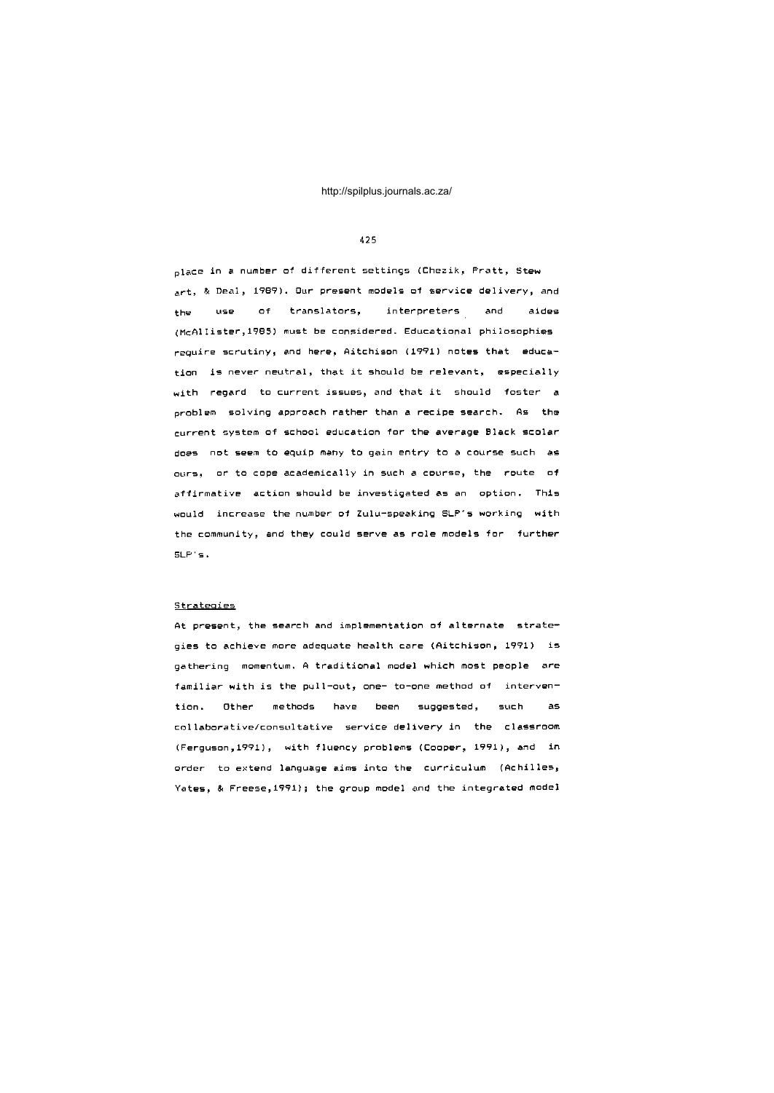## 425

place in a number of different settings (Chezik, Pratt, Stew art, & Deal, 1989). Our present models of service delivery, and the use of translators, interpreters and aides (McAllister, 1985) must be considered. Educational philosophies require scrutiny, and here, Aitchison (1991) notes that education is never neutral, that it should be relevant, especially with regard to current issues, and that it should foster a problem solving approach rather than a recipe search. As the current system of school education for the average Black scolar does not seem to equip many to gain entry to a course such as ours, or to cope academically in such a course, the route of affirmative action should be investigated as an option. This would increase the number of Zulu-speaking SLP's working with the community, and they could serve as role models for further SLP's .

#### Strategies

At present, the search and implementation of alternate strategies to achieve more adequate health care (Aitchison, 1991) is gathering momentum. A traditional model which most people are familiar with is the pull-out, one- to-one method of intervention. Other methods have been suggested, such as collaborative/consultative service delivery in the classroom (Ferguson,1991), with fluency problems (Cooper, 1991), and in order to extend language aims into the curriculum (Achilles, Yates, & Freese, 1991); the group model and the integrated model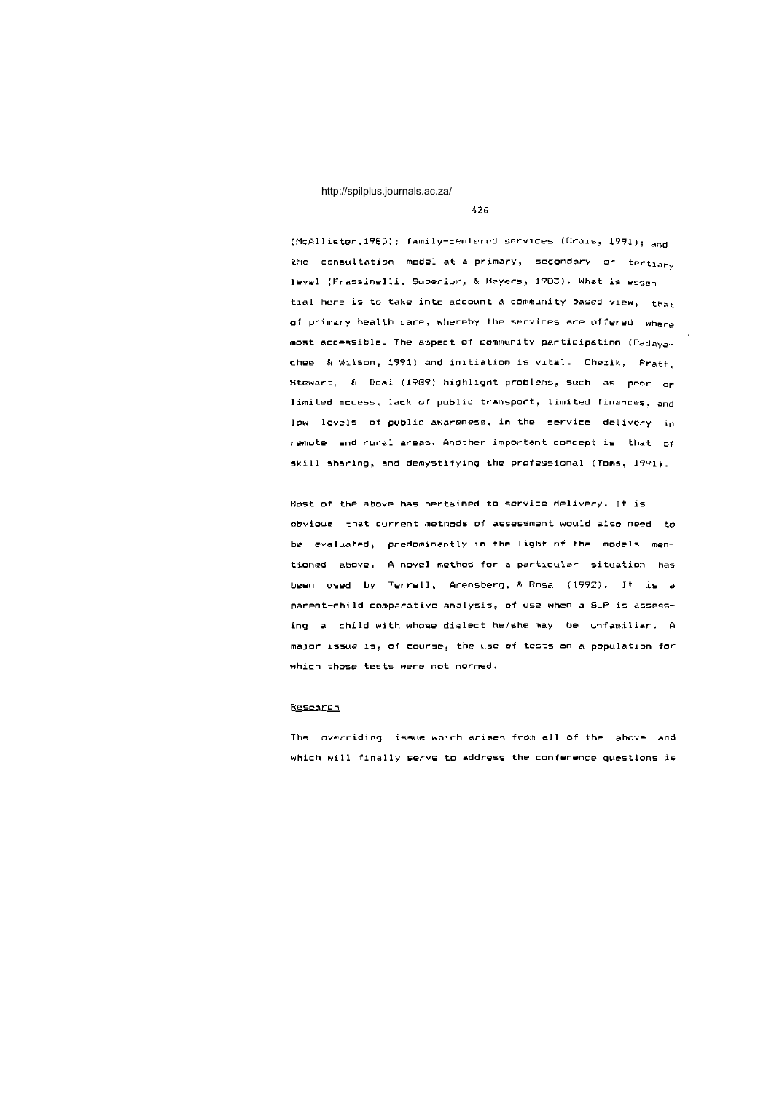#### 4 26

(McAllister,1983); family-centered services (Crais, 1991); and the consultation model at a primary, secondary or tertiary level (Frassinelli, Superior, & Meyers, 1983). What is essent tial here is to take into account a community based view,  $_{\text{that}}$ of primary health care, whereby the services are offered where most accessible. The aspect of community participation (Padayachee & Wilson, 1991) and initiation is vital. Chezik, Fratt, Stewart, & Deal (1989) highlight problems, such as poor or limited access, lack of public transport, limited finances, and low levels of public awareness, in the service delivery  $in$ remote and rural areas. Another important concept is that  $of$ skill sharing, and demystifying the professional (Toms, 1991).

Most of the above has pertained to service delivery. It is obvious that current methods of assessment would also need to be evaluated, predominantly in the light of the models mentioned above. A novel method for a particular situation has been used by Terrell, Arensberg,  $k$  Rosa (1992). It is a parent-child comparative analysis, of use when a SLP is assessing a child with whose dialect he/she may be unfamiliar. A major issue is, of course, the use of tests on a population for which those tests were not normed.

## **Research**

The overriding issue which arises from all of the above and which will finally serve to address the conference questions is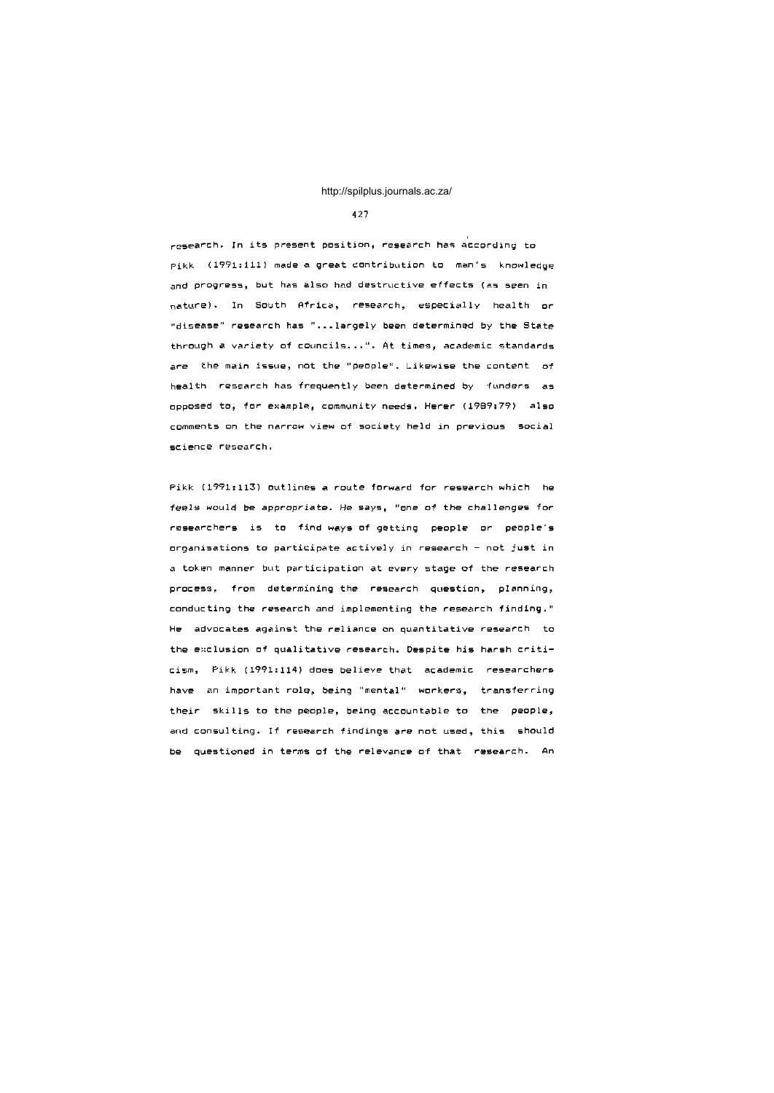#### 427

 $r$ esearch. In its present position, research has according to pikk (1991:111) made a great contribution to man's knowledge and progress, but has also had destructive effects (as seen in nature). In South Africa, research, especially health or "disease" research has "...largely been determined by the State through a variety of councils...". At times, academic standards are the main issue, not the "people". Likewise the content  $of$ health research has frequently been determined by funders as opposed to, for example, community needs. Herer (1989:79) also comments on the narrow view of society held in previous social science research.

Pikk (1991:113) outlines a route forward for research which he feels would be appropriate. He says, "one of the challenges for researchers is to find ways of getting people or people's organisations to participate actively in research - not just in a token manner but participation at every stage of the research process, from determining the research question, planning, conducting the research and implementing the research finding." He advocates against the reliance on quantitative research to the exclusion of qualitative research. Despite his harsh criticism, Pikk (1991:114) does believe that academic researchers have an important role, being "mental" workers, transferring their skills to the people, being accountable to the people, and consulting. If research findings are not used, this should be questioned in terms of the relevance of that research. An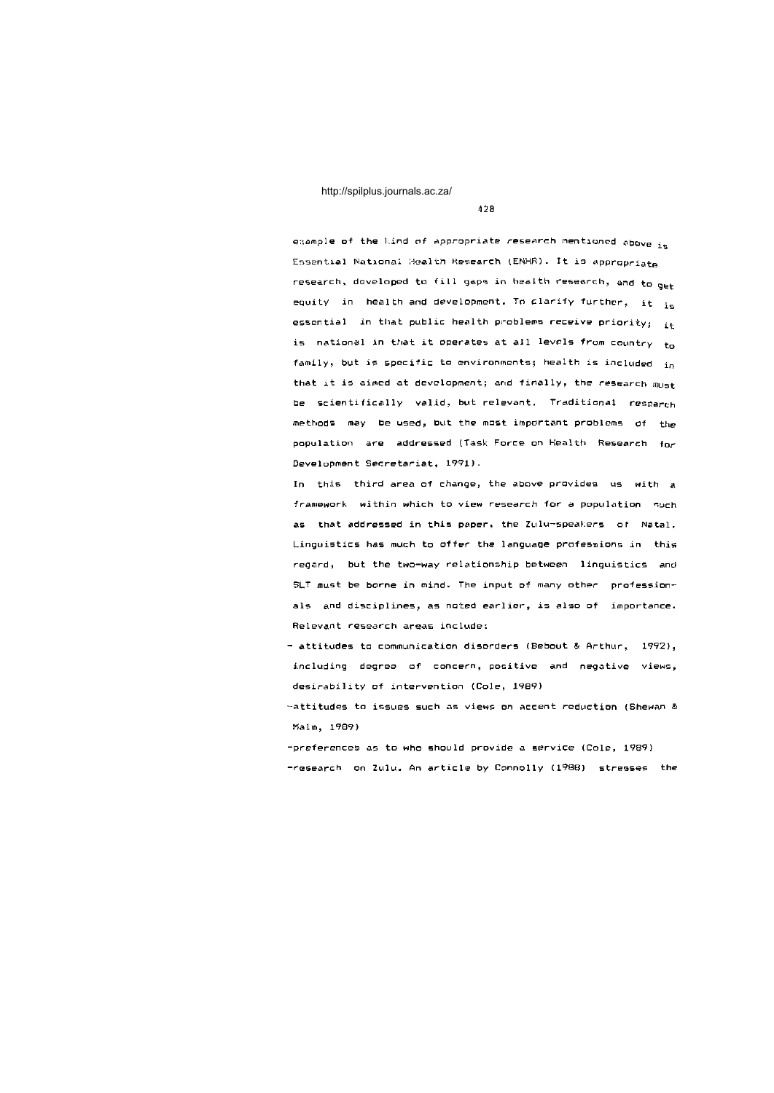4 28

example of the kind of appropriate research mentioned above  $i_{\pi}$ Essential National Health Research (ENHR). It is appropriate research, developed to fill gaps in health research, and to  $_{\rm opt}$ equity in health and development. To clarify further, it  $_{\rm jg}$ essential in that public health problems receive priority;  $i \cdot$ is national in that it operates at all levels from country  $t_0$ family, but is specific to environments; health is included  $i_R$ that it is aimed at development; and finally, the research  $m_{\text{left}}$ be scientifically valid, but relevant. Traditional research methods may be used, but the most important problems of the population are addressed (Task Force on Health Research for Development Secretariat, 1991).

In this third area of change, the above provides us with a framework within which to view research for a population such as that addressed in this paper, the Zulu-speakers of Natal. Linguistics has much to offer the language professions in this regard, but the two-way relationship between linguistics and SLT must be borne in mind. The input of many other professionals and disciplines, as noted earlier, is also of importance. Relevant research areas include:

 $-$  attitudes to communication disorders (Bebout & Arthur,  $1992)$ , including degree of concern, positive and negative views, desirability of intervention (Cole, 1989)

 $\sim$ attitudes to issues such as views on accent reduction (Shewan  $k$ Malm , 1989 )

-preferences as to who should provide a service (Cole, 1989) -research on Zulu. An article by Connolly (1988) stresses the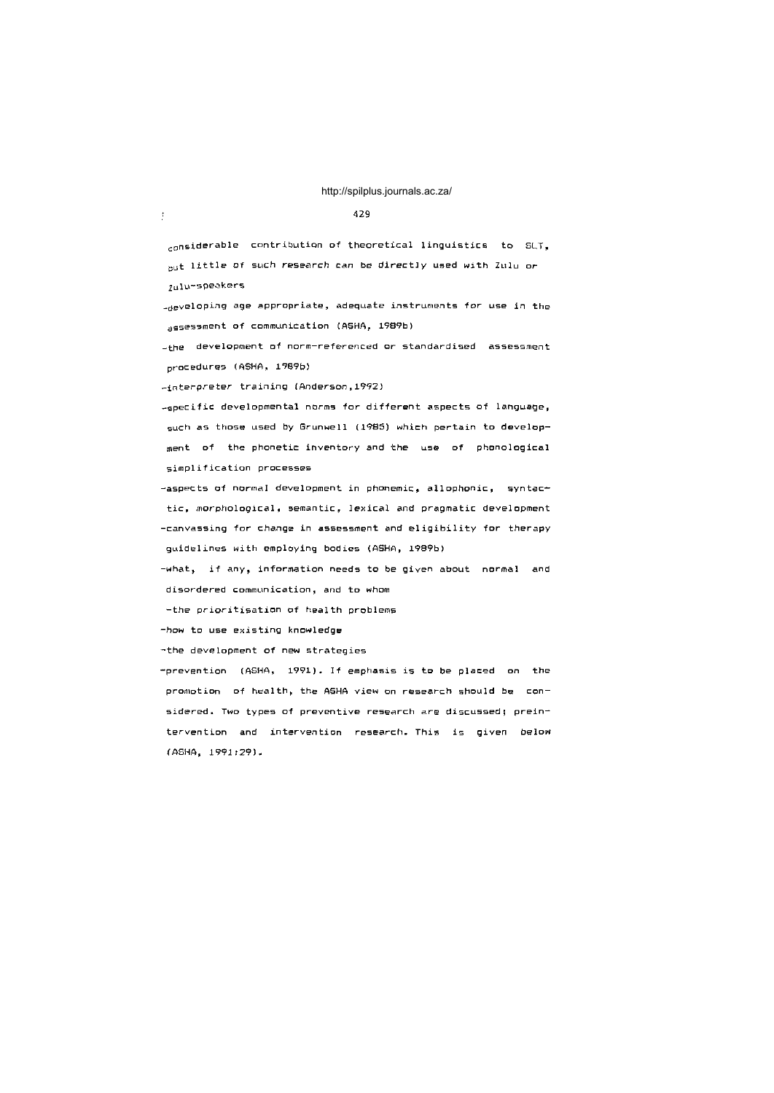#### 479

considerable contribution of theoretical linguistics to SLT. but little of such research can be directly used with Zulu or zulu-speakers

-developing age appropriate, adequate instruments for use in the assessment of communication (ASHA, 1989b)

-the development of norm-referenced or standardised assessment procedures (ASHA, 1989b)

-interpreter training (Anderson, 1992)

 $\frac{1}{2}$ 

-specific developmental norms for different aspects of language, such as those used by Grunwell (1985) which pertain to development of the phonetic inventory and the use of phonological simplification processes

-aspects of normal development in phonemic, allophonic, syntactic, morphological, semantic, lexical and pragmatic development -canvassing for change in assessment and eligibility for therapy guidelines with employing bodies (ASHA, 1989b)

-what, if any, information needs to be given about normal and disordered communication, and to whom

-the prioritisation of health problems

-how to use existing knowledge

-the development of new strategies

-prevention (ASHA, 1991). If emphasis is to be placed on the promotion of health, the ASHA view on research should be considered. Two types of preventive research are discussed; preintervention and intervention research. This is given below (ASHA, 1991:29).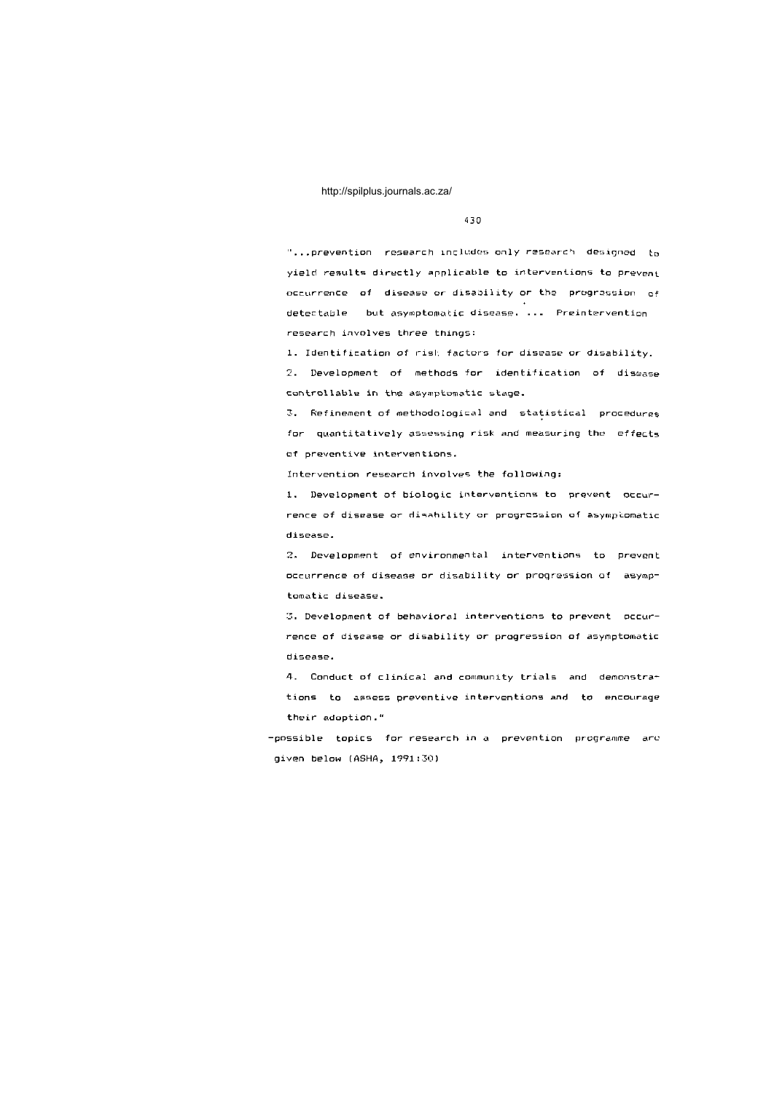430

"...prevention research includes only research designed to yield results directly applicable to interventions to prevent occurrence of disease or disability or the progression of detectable but asymptomatic disease. ... Preintervention research involves three things:

1. Identification of risk factors for disease or disability.

2. Development of methods for identification of disease controllable in the asymptomatic stage.

3. Refinement of methodological and statistical procedures for quantitatively assessing risk and measuring the effects of preventive interventions.

Intervention research involves the following:

1. Development of biologic interventions to prevent occurrence of disease or disability or progression of asymptomatic disease.

2. Development of environmental interventions to prevent occurrence of disease or disability or progression of asymptomatic disease.

3. Development of behavioral interventions to prevent occurrence of disease or disability or progression of asymptomatic disease.

4. Conduct of clinical and community trials and demonstrations to assess preventive interventions and to encourage their adoption."

-possible topics for research in a prevention programme are given below (ASHA, 1991:30)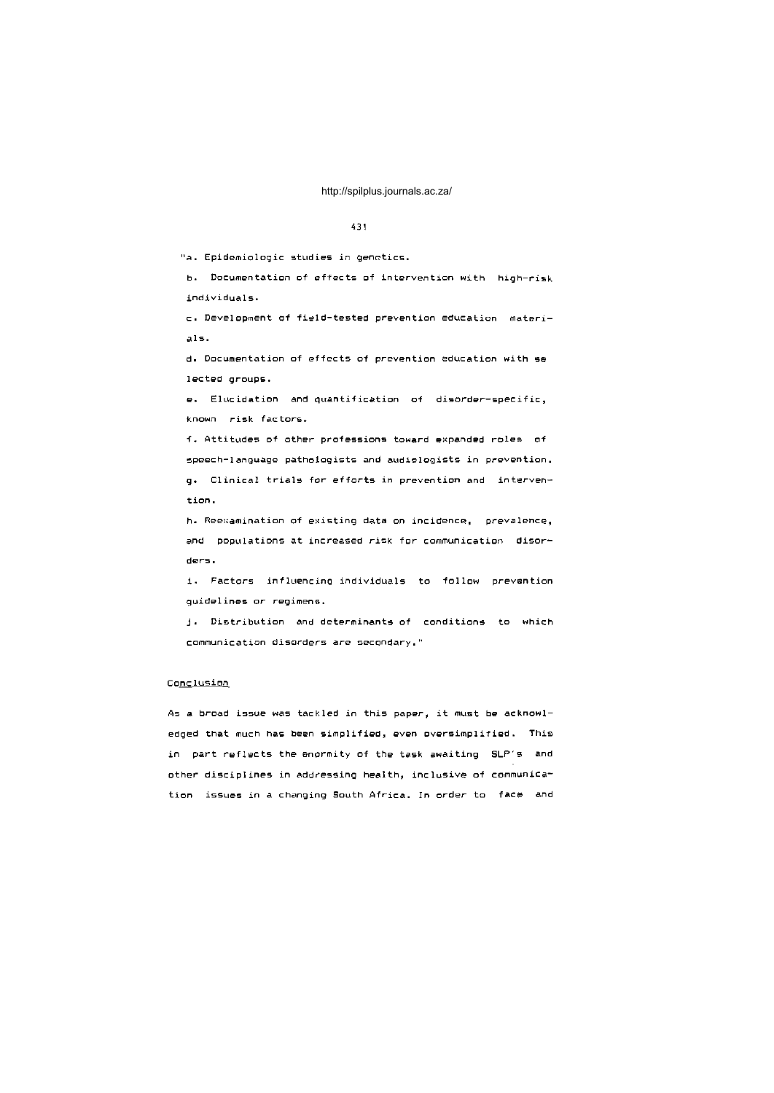## 431

"a. Epidemiologic studies in genetics.

b. Documentation of effects of intervention with high-risk individuals.

c. Development of field-tested prevention education materi $als.$ 

d. Documentation of effects of prevention education with se lected groups.

e. Elucidation and quantification of disorder-specific, known risk factors.

f. Attitudes of other professions toward expanded roles of speech-language pathologists and audiologists in prevention. g. Clinical trials for efforts in prevention and intervention.

h. Reexamination of existing data on incidence, prevalence, and populations at increased risk for communication disorders.

i. Factors influencing individuals to follow prevention guidelines or regimens.

j. Distribution and determinants of conditions to which communication disorders are secondary."

## Conclusion

As a broad issue was tackled in this paper, it must be acknowledged that much has been simplified, even oversimplified. This in part reflects the enormity of the task awaiting SLP's and other disciplines in addressing health, inclusive of communication issues in a changing South Africa. In order to face and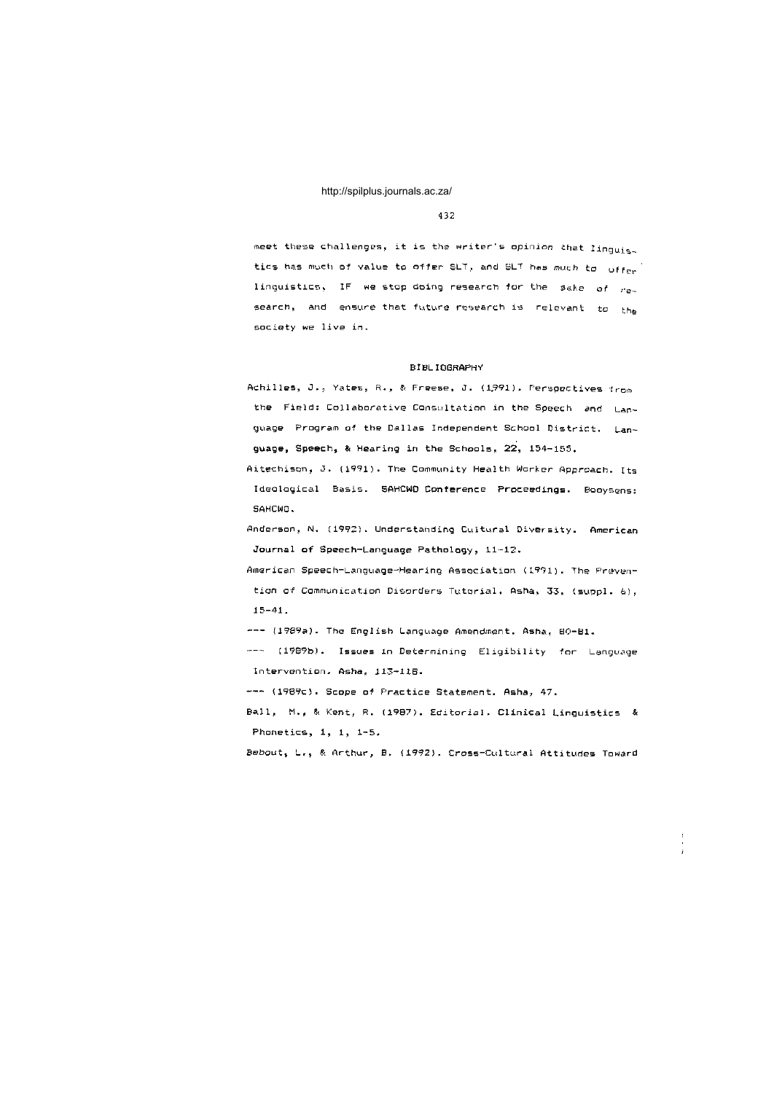#### 432

meet these challenges, it is the writer's opinion that linguis. tics has much of value to offer SLT, and SLT has much to offer linguistics, IF we stop doing research for the sake of  $r_{\text{ex}}$ search, and ensure that future research is relevant to the society we live in.

## BIBLIOGRAPH Y

Achilles, J., Yates, R., & Freese, J. (1991). Perspectives from the Field: Collaborative Consultation in the Speech and Language Program of the Dallas Independent School District. Language, Speech, & Hearing in the Schools,  $22$ ,  $154-155$ .

Aitechison, J. (1991). The Community Health Worker Approach. Its Ideological Basis. SAHCWD Conference Proceedings. Booysens: SAHCWO .

Anderson, N. (1992). Understanding Cultural Diversity. American Journal of Speech-Language Pathology, 11-12.

American Speech-Language-Hearing Association (1991). The Prevention of Communication Disorders Tutorial. Asha, 33, (suppl. 6),  $15 - 41$  .

--- (1989a). The English Language Amendment. Asha, 80-B1.

--- (1989b). Issues in Determining Eligibility for Language Intervention, Asha, 113-118.

--- (1989c). Scope of Practice Statement. Asha, 47.

Ball, M., & Kent, R. (1987). Editorial. Clinical Linguistics & Phonetics,  $1, 1, 1-5$ .

Bebout, L., & Arthur, B. (1992). Cross-Cultural Attitudes Toward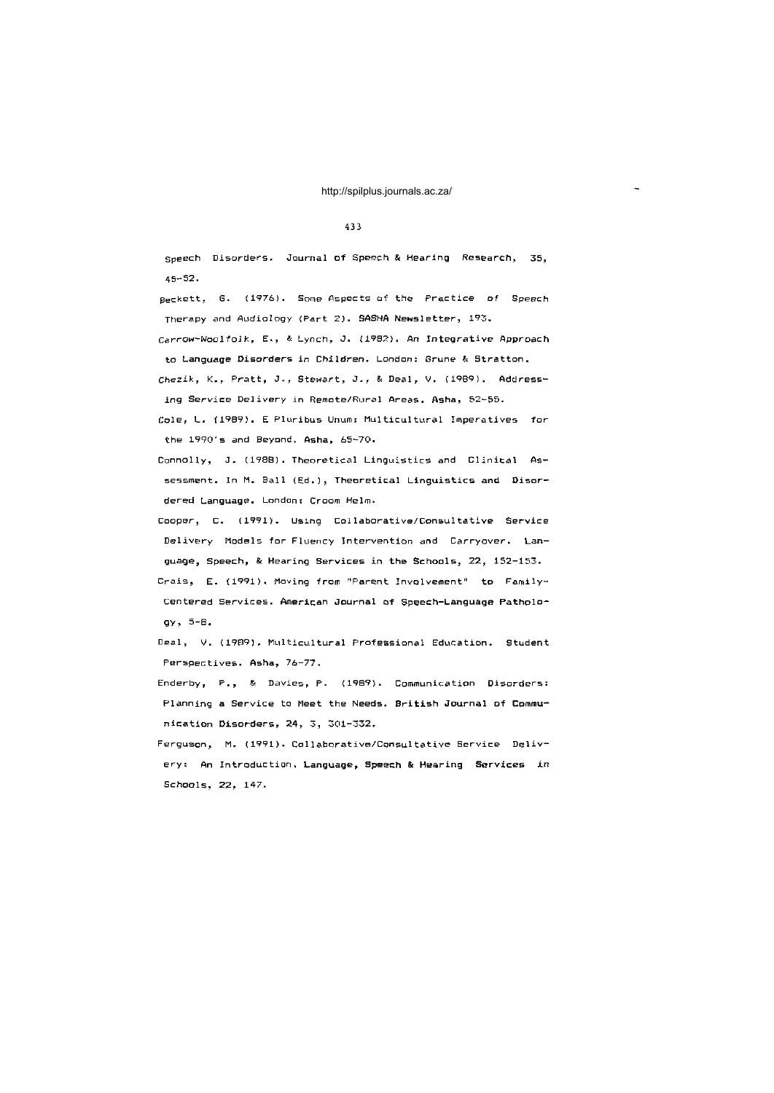#### 4 3 3

Speech Disorders. Journal of Speech & Hearing Research, 35, 45-52 .

Beckett, G. (1976). Some Aspects of the Practice of Speech Therapy and Audiology (Part 2). SASHA Newsletter, 193.

Carrow-Woolfolk, E., & Lynch, J. (1982). An Integrative Approach to Language Disorders in Children. London: Grune & Stratton.

Chezik, K., Pratt, J., Stewart, J., & Deal, V. (1989). Addressing Service Delivery in Remote/Rural Areas, Asha, 52-55.

Cole, L. (1989). E Pluribus Unum: Multicultural Imperatives for the  $1990'$  s and Beyond, Asha,  $65-70$ .

Connolly, J. (1988). Theoretical Linguistics and Clinical Assessment. In M. Ball (Ed.), Theoretical Linguistics and Disordered Language. London: Croom Helm.

Cooper, C. (1991). Using Collaborative/Consultative Service Delivery Models for Fluency Intervention and Carryover. Language, Speech, & Hearing Services in the Schools, 22, 152-153.

Crais, E. (1991). Moving from "Parent Involvement" to Family-Centered Services. American Journal of Speech-Language Pathology j 5-S.

Deal, V. (1989). Multicultural Professional Education. Student Perspectives. Asha, 76-77.

Enderby, P., & Davies, P. (1989). Communication Disorders: Planning a Service to Meet the Needs. British Journal of Commu $n$ ication Disorders, 24, 3, 301-332.

Ferguson, M. (1991). Collaborative/Consultative Service Delivery: An Introduction. Language, Speech & Hearing Services in Schools, 22, 147.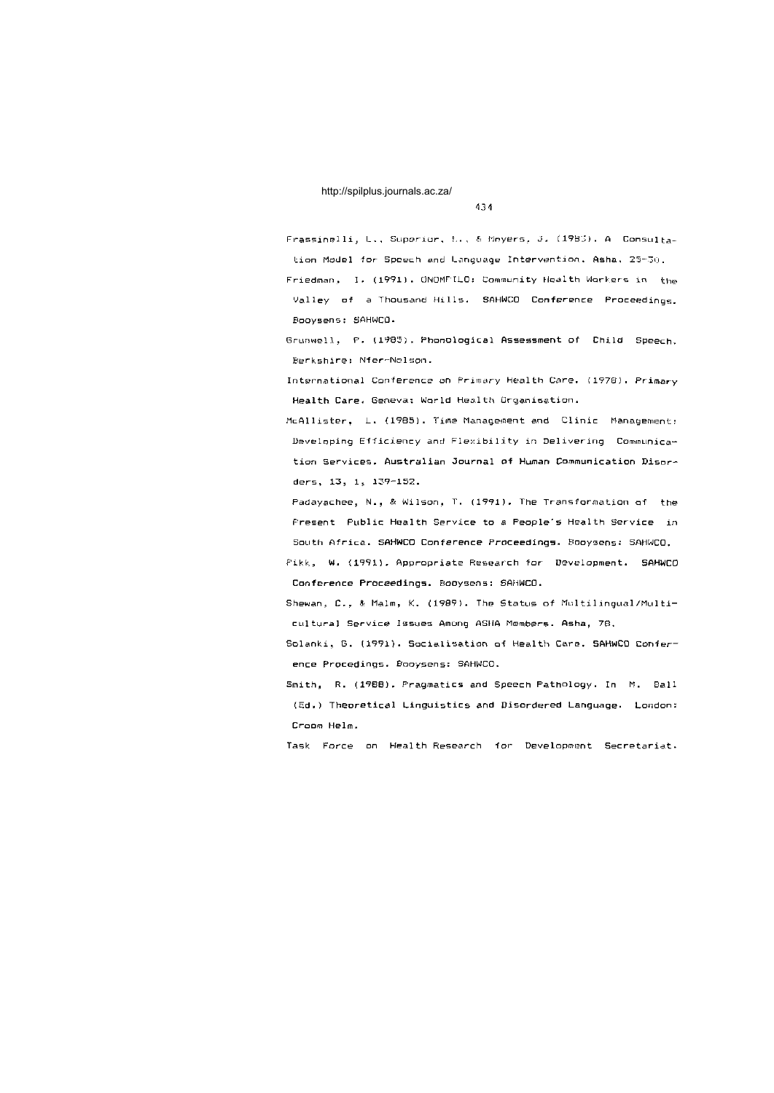#### 434

Frassinelli, L., Superior, *L.*, *& Mryers, J. (1983). A* Consultation Model for Spoech and Language Intervention. Asha, 25-30.

Friedman, I. (1991). GNOMPILO: Community Health Workers in the Valley of a Thousand Hills. SAHWCO Conference Proceedings. Booysens : SAHWCO .

Grunwell, F. (1985). Phonological Assessment of Child Speech. Berkshire: Nfer-Nelson.

International Conference on Primary Health Care, (1978). Primary Health Care. Geneva: World Health Organisation.

McAllister, L. (1985). Time Management and Clinic Management: Developing Efficiency and Flexibility in Delivering Communication Services. Australian Journal of Human Communication Disorders, 13, 1, 139-152.

Padayachee, N., & Wilson, T. (1991). The Transformation of the Present Public Health Service to a People's Health Service in South Africa. SAHWCO Conference Proceedings. Booysens: SAHWCO.

Pikk, W. (1991). Appropriate Research for Development. SAHWCO Conference Proceedings. Booysens: SAHWCO.

Shewan, C., & Malm, K. (1989). The Status of Multilingual/Multicultural Service Issues Among ASHA Members. Asha, 78.

Solanki, B. (1991). Socialisation of Health Care. SAHWCD Conference Procedings. Booysens: SAHWCO.

Smith, R. (1988). Pragmatics and Speech Pathology. In M. Ball (Ed.) Theoretical Linguistics and Disordered Language. London: Croom Helm.

Task Force on Health-Research for Development Secretariat.